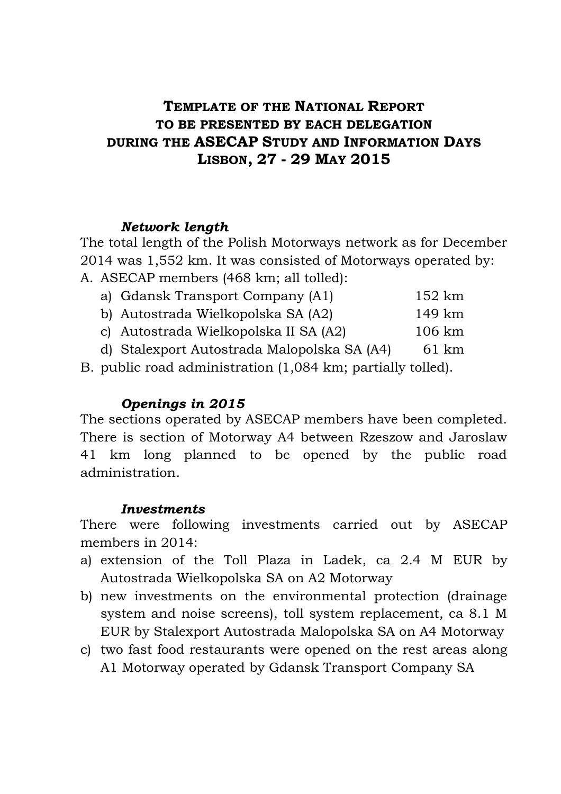# **TEMPLATE OF THE NATIONAL REPORT TO BE PRESENTED BY EACH DELEGATION DURING THE ASECAP STUDY AND INFORMATION DAYS LISBON, 27 - 29 MAY 2015**

#### *Network length*

The total length of the Polish Motorways network as for December 2014 was 1,552 km. It was consisted of Motorways operated by:

A. ASECAP members (468 km; all tolled): a) Gdansk Transport Company (A1)  $1524$ 

| a) Gdansk Transport Company (AT).  | 152 km |
|------------------------------------|--------|
| b) Autostrada Wielkopolska SA (A2) | 149 km |
|                                    |        |

c) Autostrada Wielkopolska II SA (A2) 106 km

d) Stalexport Autostrada Malopolska SA (A4) 61 km

B. public road administration (1,084 km; partially tolled).

#### *Openings in 2015*

The sections operated by ASECAP members have been completed. There is section of Motorway A4 between Rzeszow and Jaroslaw 41 km long planned to be opened by the public road administration.

#### *Investments*

There were following investments carried out by ASECAP members in 2014:

- a) extension of the Toll Plaza in Ladek, ca 2.4 M EUR by Autostrada Wielkopolska SA on A2 Motorway
- b) new investments on the environmental protection (drainage system and noise screens), toll system replacement, ca 8.1 M EUR by Stalexport Autostrada Malopolska SA on A4 Motorway
- c) two fast food restaurants were opened on the rest areas along A1 Motorway operated by Gdansk Transport Company SA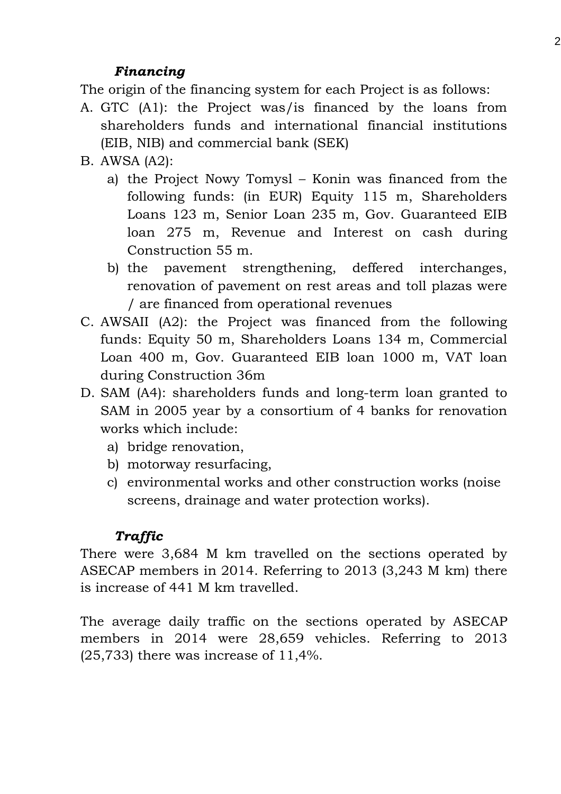## *Financing*

The origin of the financing system for each Project is as follows:

- A. GTC (A1): the Project was/is financed by the loans from shareholders funds and international financial institutions (EIB, NIB) and commercial bank (SEK)
- B. AWSA (A2):
	- a) the Project Nowy Tomysl Konin was financed from the following funds: (in EUR) Equity 115 m, Shareholders Loans 123 m, Senior Loan 235 m, Gov. Guaranteed EIB loan 275 m, Revenue and Interest on cash during Construction 55 m.
	- b) the pavement strengthening, deffered interchanges, renovation of pavement on rest areas and toll plazas were / are financed from operational revenues
- C. AWSAII (A2): the Project was financed from the following funds: Equity 50 m, Shareholders Loans 134 m, Commercial Loan 400 m, Gov. Guaranteed EIB loan 1000 m, VAT loan during Construction 36m
- D. SAM (A4): shareholders funds and long-term loan granted to SAM in 2005 year by a consortium of 4 banks for renovation works which include:
	- a) bridge renovation,
	- b) motorway resurfacing,
	- c) environmental works and other construction works (noise screens, drainage and water protection works).

# *Traffic*

There were 3,684 M km travelled on the sections operated by ASECAP members in 2014. Referring to 2013 (3,243 M km) there is increase of 441 M km travelled.

The average daily traffic on the sections operated by ASECAP members in 2014 were 28,659 vehicles. Referring to 2013  $(25,733)$  there was increase of 11,4%.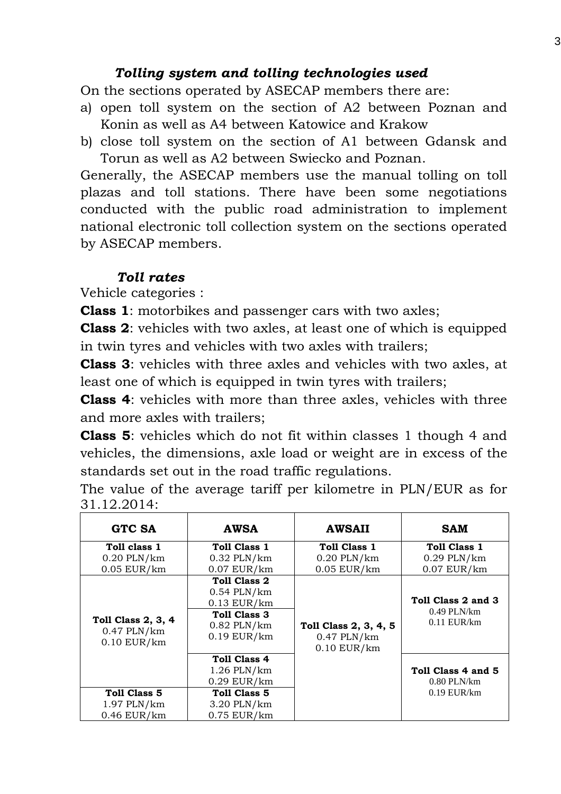### *Tolling system and tolling technologies used*

On the sections operated by ASECAP members there are:

- a) open toll system on the section of A2 between Poznan and Konin as well as A4 between Katowice and Krakow
- b) close toll system on the section of A1 between Gdansk and Torun as well as A2 between Swiecko and Poznan.

Generally, the ASECAP members use the manual tolling on toll plazas and toll stations. There have been some negotiations conducted with the public road administration to implement national electronic toll collection system on the sections operated by ASECAP members.

## *Toll rates*

Vehicle categories :

**Class 1**: motorbikes and passenger cars with two axles;

**Class 2**: vehicles with two axles, at least one of which is equipped in twin tyres and vehicles with two axles with trailers;

**Class 3**: vehicles with three axles and vehicles with two axles, at least one of which is equipped in twin tyres with trailers;

**Class 4**: vehicles with more than three axles, vehicles with three and more axles with trailers;

**Class 5**: vehicles which do not fit within classes 1 though 4 and vehicles, the dimensions, axle load or weight are in excess of the standards set out in the road traffic regulations.

The value of the average tariff per kilometre in PLN/EUR as for 31.12.2014:

| GTC SA                                                      | <b>AWSA</b>                                                                                            | <b>AWSAII</b>                                              | <b>SAM</b>                                           |  |
|-------------------------------------------------------------|--------------------------------------------------------------------------------------------------------|------------------------------------------------------------|------------------------------------------------------|--|
| Toll class 1                                                | Toll Class 1                                                                                           | Toll Class 1                                               | Toll Class 1                                         |  |
| $0.20$ PLN/km                                               | $0.32$ PLN/km                                                                                          | $0.20$ PLN/ $km$                                           | $0.29$ PLN/km                                        |  |
| $0.05$ EUR/km                                               | $0.07$ EUR/ $km$                                                                                       | $0.05$ EUR/km                                              | $0.07$ EUR/km                                        |  |
| <b>Toll Class 2, 3, 4</b><br>$0.47$ PLN/km<br>$0.10$ EUR/km | Toll Class 2<br>$0.54$ PLN/km<br>$0.13$ EUR/ $km$<br>Toll Class 3<br>$0.82$ PLN/km<br>$0.19$ EUR/ $km$ | Toll Class 2, 3, 4, 5<br>$0.47$ PLN/km<br>$0.10$ EUR/ $km$ | Toll Class 2 and 3<br>$0.49$ PLN/km<br>$0.11$ EUR/km |  |
|                                                             | <b>Toll Class 4</b><br>$1.26$ PLN/km<br>$0.29$ EUR/km                                                  |                                                            | Toll Class 4 and 5<br>$0.80$ PLN/km                  |  |
| Toll Class 5                                                | Toll Class 5                                                                                           |                                                            | $0.19$ EUR/km                                        |  |
| $1.97$ PLN/ $km$                                            | 3.20 PLN/km                                                                                            |                                                            |                                                      |  |
| $0.46$ EUR/ $km$                                            | $0.75$ EUR/km                                                                                          |                                                            |                                                      |  |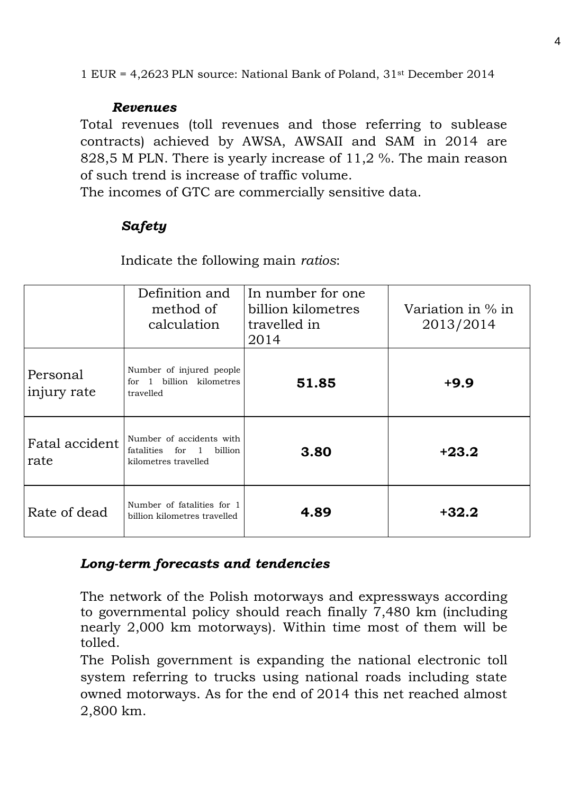1 EUR = 4,2623 PLN source: National Bank of Poland, 31st December 2014

#### *Revenues*

Total revenues (toll revenues and those referring to sublease contracts) achieved by AWSA, AWSAII and SAM in 2014 are 828,5 M PLN. There is yearly increase of 11,2 %. The main reason of such trend is increase of traffic volume.

The incomes of GTC are commercially sensitive data.

# *Safety*

Indicate the following main *ratios*:

|                         | Definition and<br>method of<br>calculation                                         | In number for one<br>billion kilometres<br>travelled in<br>2014 | Variation in $\%$ in<br>2013/2014 |
|-------------------------|------------------------------------------------------------------------------------|-----------------------------------------------------------------|-----------------------------------|
| Personal<br>injury rate | Number of injured people<br>billion kilometres<br>for $1$<br>travelled             | 51.85                                                           | $+9.9$                            |
| Fatal accident<br>rate  | Number of accidents with<br>billion<br>fatalities<br>for 1<br>kilometres travelled | 3.80                                                            | $+23.2$                           |
| Rate of dead            | Number of fatalities for 1<br>billion kilometres travelled                         | 4.89                                                            | $+32.2$                           |

### *Long-term forecasts and tendencies*

The network of the Polish motorways and expressways according to governmental policy should reach finally 7,480 km (including nearly 2,000 km motorways). Within time most of them will be tolled.

The Polish government is expanding the national electronic toll system referring to trucks using national roads including state owned motorways. As for the end of 2014 this net reached almost 2,800 km.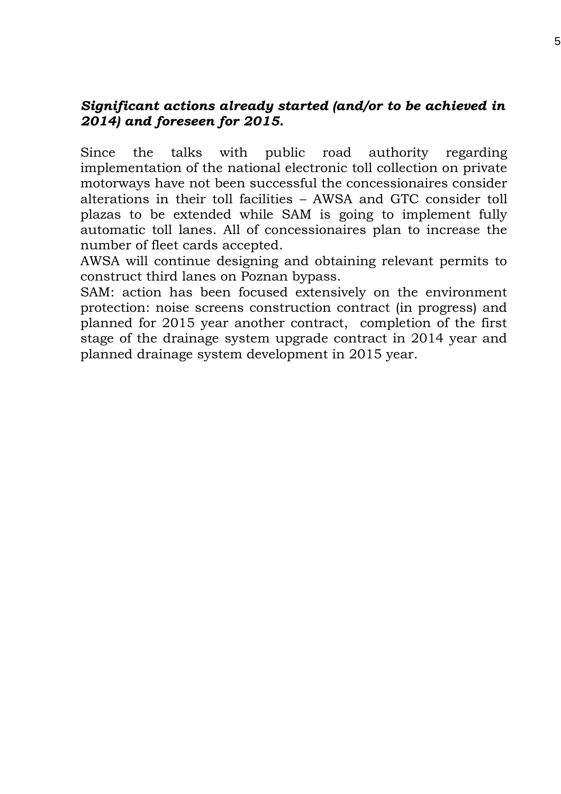#### *Significant actions already started (and/or to be achieved in 2014) and foreseen for 2015.*

Since the talks with public road authority regarding implementation of the national electronic toll collection on private motorways have not been successful the concessionaires consider alterations in their toll facilities – AWSA and GTC consider toll plazas to be extended while SAM is going to implement fully automatic toll lanes. All of concessionaires plan to increase the number of fleet cards accepted.

AWSA will continue designing and obtaining relevant permits to construct third lanes on Poznan bypass.

SAM: action has been focused extensively on the environment protection: noise screens construction contract (in progress) and planned for 2015 year another contract, completion of the first stage of the drainage system upgrade contract in 2014 year and planned drainage system development in 2015 year.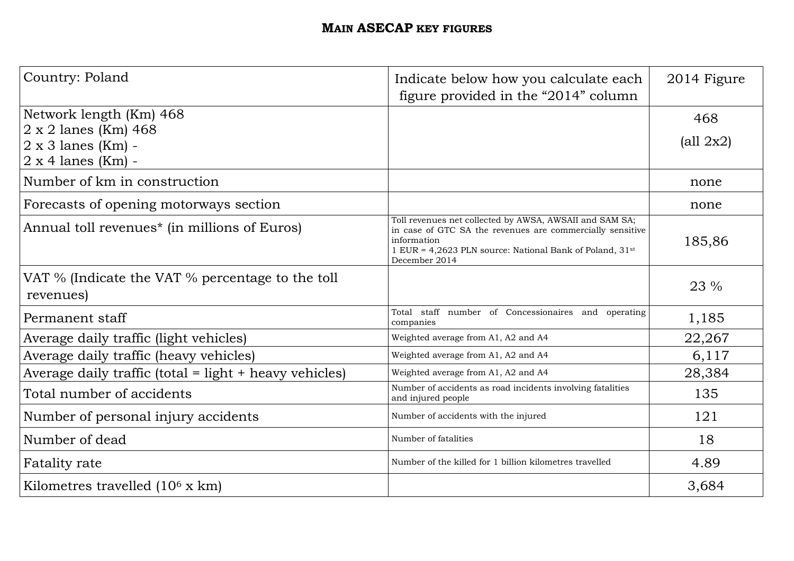### **MAIN ASECAP KEY FIGURES**

| Country: Poland                                               | Indicate below how you calculate each<br>figure provided in the "2014" column                                                                                                                                    | 2014 Figure                    |
|---------------------------------------------------------------|------------------------------------------------------------------------------------------------------------------------------------------------------------------------------------------------------------------|--------------------------------|
| Network length (Km) 468                                       |                                                                                                                                                                                                                  | 468                            |
| $2 \times 2$ lanes (Km) 468                                   |                                                                                                                                                                                                                  |                                |
| $2 \times 3$ lanes (Km) -                                     |                                                                                                                                                                                                                  | $\left(\text{all } 2x2\right)$ |
| $2 \times 4$ lanes (Km) -                                     |                                                                                                                                                                                                                  |                                |
| Number of km in construction                                  |                                                                                                                                                                                                                  | none                           |
| Forecasts of opening motorways section                        |                                                                                                                                                                                                                  | none                           |
| Annual toll revenues <sup>*</sup> (in millions of Euros)      | Toll revenues net collected by AWSA, AWSAII and SAM SA;<br>in case of GTC SA the revenues are commercially sensitive<br>information<br>1 EUR = 4,2623 PLN source: National Bank of Poland, 31st<br>December 2014 | 185,86                         |
| VAT % (Indicate the VAT % percentage to the toll<br>revenues) |                                                                                                                                                                                                                  | 23 %                           |
| Permanent staff                                               | Total staff number of Concessionaires and operating<br>companies                                                                                                                                                 | 1,185                          |
| Average daily traffic (light vehicles)                        | Weighted average from A1, A2 and A4                                                                                                                                                                              | 22,267                         |
| Average daily traffic (heavy vehicles)                        | Weighted average from A1, A2 and A4                                                                                                                                                                              | 6,117                          |
| Average daily traffic (total = light + heavy vehicles)        | Weighted average from A1, A2 and A4                                                                                                                                                                              | 28,384                         |
| Total number of accidents                                     | Number of accidents as road incidents involving fatalities<br>and injured people                                                                                                                                 | 135                            |
| Number of personal injury accidents                           | Number of accidents with the injured                                                                                                                                                                             | 121                            |
| Number of dead                                                | Number of fatalities                                                                                                                                                                                             | 18                             |
| Fatality rate                                                 | Number of the killed for 1 billion kilometres travelled                                                                                                                                                          | 4.89                           |
| Kilometres travelled $(10^6 \text{ x km})$                    |                                                                                                                                                                                                                  | 3,684                          |